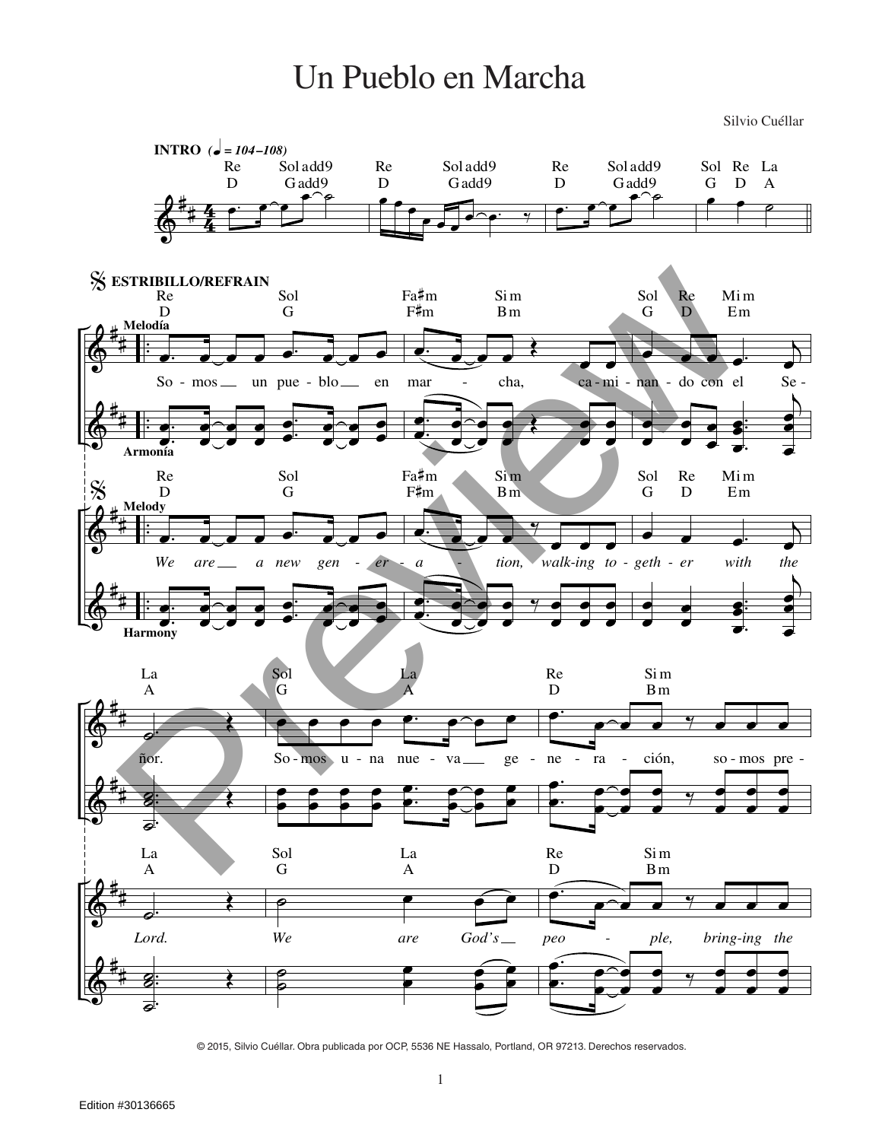## Un Pueblo en Marcha

Silvio Cuéllar



© 2015, Silvio Cuéllar. Obra publicada por OCP, 5536 NE Hassalo, Portland, OR 97213. Derechos reservados.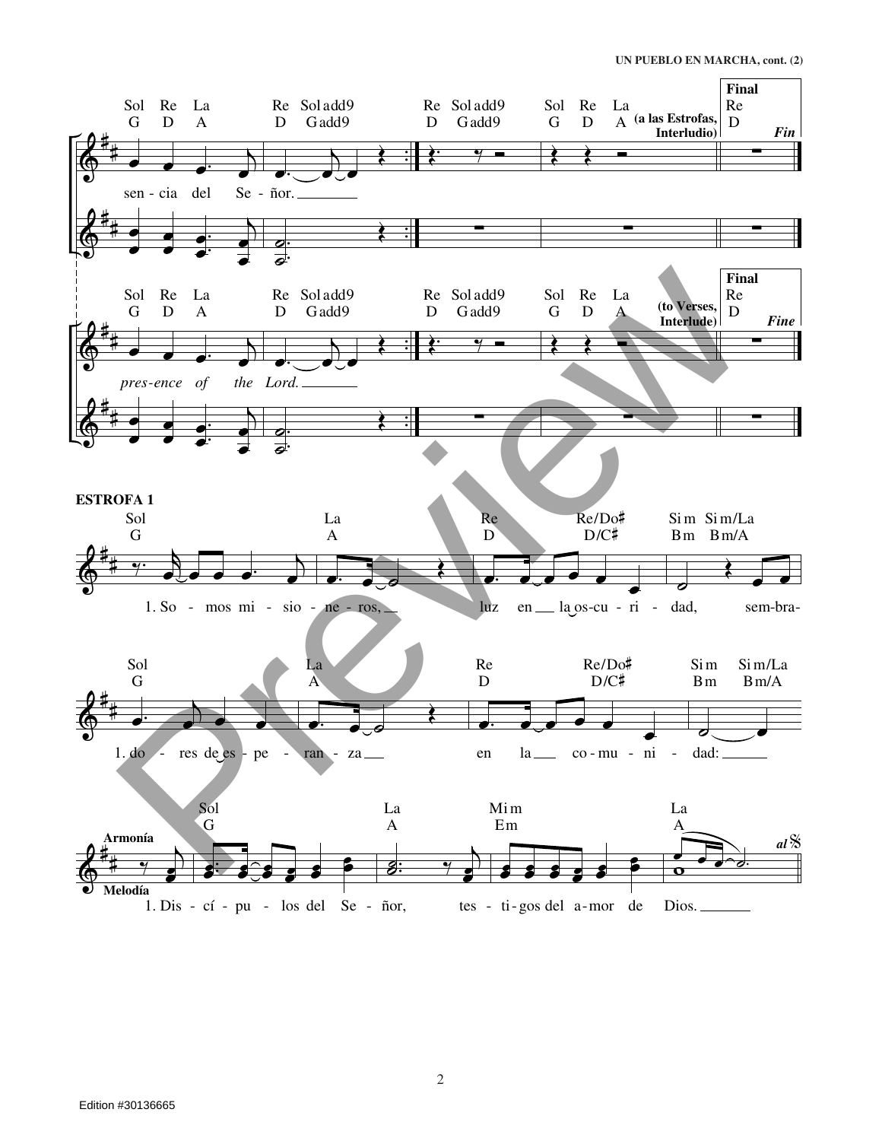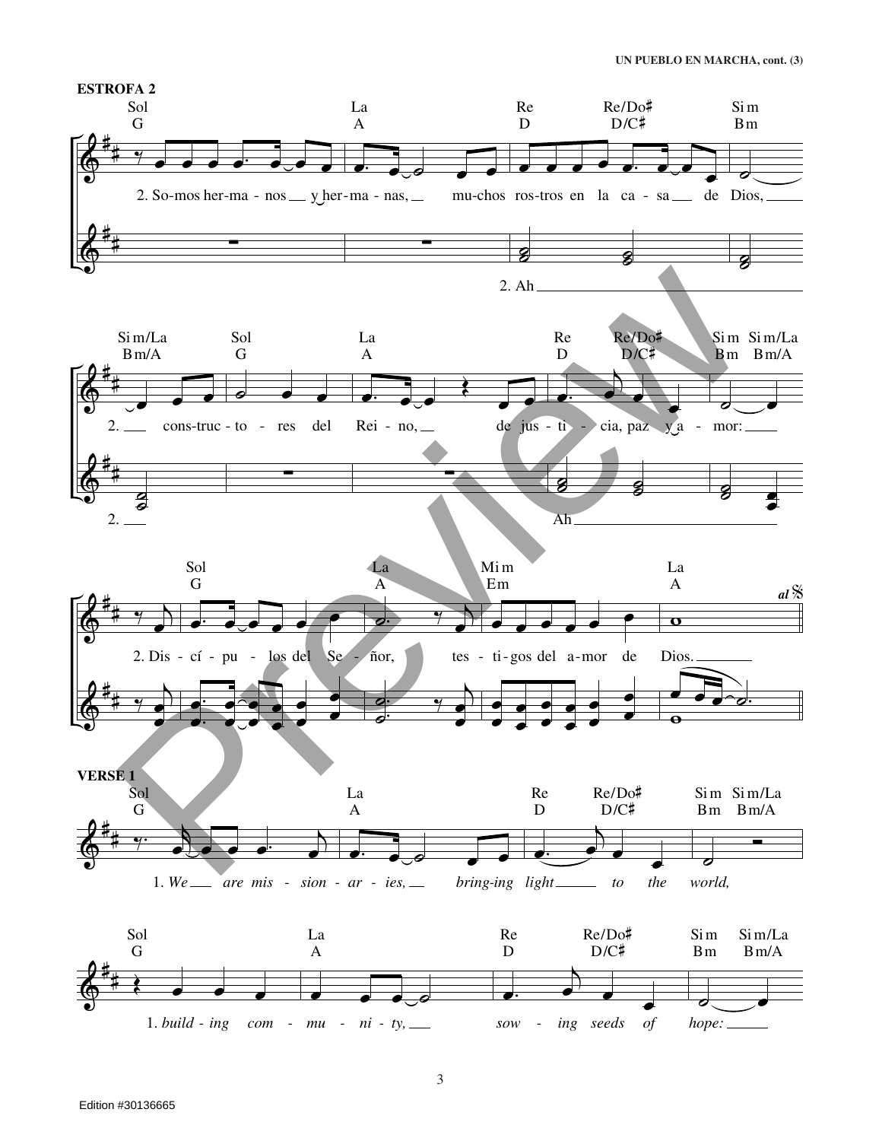